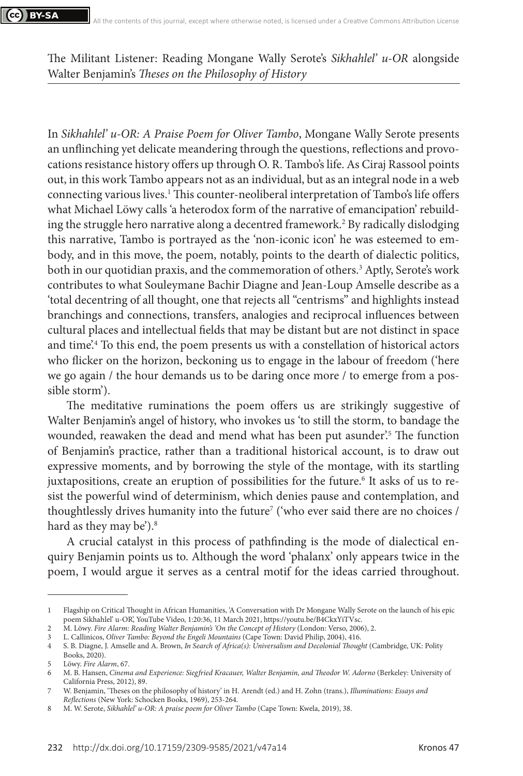The Militant Listener: Reading Mongane Wally Serote's *Sikhahlel' u-OR* alongside Walter Benjamin's *Theses on the Philosophy of History*

In *Sikhahlel' u-OR: A Praise Poem for Oliver Tambo*, Mongane Wally Serote presents an unflinching yet delicate meandering through the questions, reflections and provocations resistance history offers up through O. R. Tambo's life. As Ciraj Rassool points out, in this work Tambo appears not as an individual, but as an integral node in a web connecting various lives.1 This counter-neoliberal interpretation of Tambo's life offers what Michael Löwy calls 'a heterodox form of the narrative of emancipation' rebuilding the struggle hero narrative along a decentred framework.2 By radically dislodging this narrative, Tambo is portrayed as the 'non-iconic icon' he was esteemed to embody, and in this move, the poem, notably, points to the dearth of dialectic politics, both in our quotidian praxis, and the commemoration of others.3 Aptly, Serote's work contributes to what Souleymane Bachir Diagne and Jean-Loup Amselle describe as a 'total decentring of all thought, one that rejects all "centrisms" and highlights instead branchings and connections, transfers, analogies and reciprocal influences between cultural places and intellectual fields that may be distant but are not distinct in space and time'.4 To this end, the poem presents us with a constellation of historical actors who flicker on the horizon, beckoning us to engage in the labour of freedom ('here we go again / the hour demands us to be daring once more / to emerge from a possible storm').

The meditative ruminations the poem offers us are strikingly suggestive of Walter Benjamin's angel of history, who invokes us 'to still the storm, to bandage the wounded, reawaken the dead and mend what has been put asunder'.5 The function of Benjamin's practice, rather than a traditional historical account, is to draw out expressive moments, and by borrowing the style of the montage, with its startling juxtapositions, create an eruption of possibilities for the future.6 It asks of us to resist the powerful wind of determinism, which denies pause and contemplation, and thoughtlessly drives humanity into the future7 ('who ever said there are no choices / hard as they may be').<sup>8</sup>

A crucial catalyst in this process of pathfinding is the mode of dialectical enquiry Benjamin points us to. Although the word 'phalanx' only appears twice in the poem, I would argue it serves as a central motif for the ideas carried throughout.

<sup>1</sup> Flagship on Critical Thought in African Humanities, 'A Conversation with Dr Mongane Wally Serote on the launch of his epic poem Sikhahlel' u-OR', YouTube Video, 1:20:36, 11 March 2021, https://youtu.be/B4CkxYiTVsc.

<sup>2</sup> M. Löwy. *Fire Alarm: Reading Walter Benjamin's* 'On the Concept of History (London: Verso, 2006), 2.<br>1 Callinicos Oliver Tambo: Beyond the Fugeli Mountains (Cape Town: David Philip 2004), 416

<sup>3</sup> L. Callinicos, *Oliver Tambo: Beyond the Engeli Mountains* (Cape Town: David Philip, 2004), 416.

<sup>4</sup> S. B. Diagne, J. Amselle and A. Brown, *In Search of Africa(s): Universalism and Decolonial Thought* (Cambridge, UK: Polity Books, 2020).

<sup>5</sup> Löwy. *Fire Alarm*, 67.

<sup>6</sup> M. B. Hansen, *Cinema and Experience: Siegfried Kracauer, Walter Benjamin, and Theodor W. Adorno* (Berkeley: University of California Press, 2012), 89.

<sup>7</sup> W. Benjamin, 'Theses on the philosophy of history' in H. Arendt (ed.) and H. Zohn (trans.), *Illuminations: Essays and Reflections* (New York: Schocken Books, 1969), 253-264.

<sup>8</sup> M. W. Serote, *Sikhahlel' u-OR: A praise poem for Oliver Tambo* (Cape Town: Kwela, 2019), 38.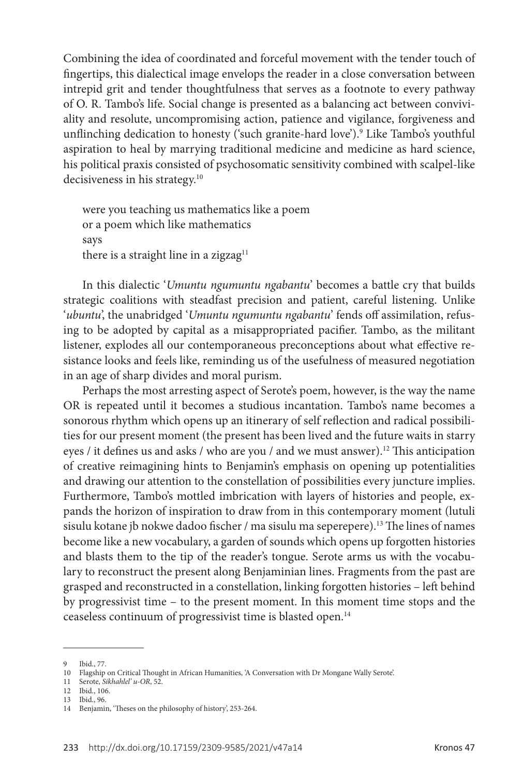Combining the idea of coordinated and forceful movement with the tender touch of fingertips, this dialectical image envelops the reader in a close conversation between intrepid grit and tender thoughtfulness that serves as a footnote to every pathway of O. R. Tambo's life. Social change is presented as a balancing act between conviviality and resolute, uncompromising action, patience and vigilance, forgiveness and unflinching dedication to honesty ('such granite-hard love').9 Like Tambo's youthful aspiration to heal by marrying traditional medicine and medicine as hard science, his political praxis consisted of psychosomatic sensitivity combined with scalpel-like decisiveness in his strategy.10

were you teaching us mathematics like a poem or a poem which like mathematics says there is a straight line in a zigzag<sup>11</sup>

In this dialectic '*Umuntu ngumuntu ngabantu*' becomes a battle cry that builds strategic coalitions with steadfast precision and patient, careful listening. Unlike '*ubuntu*', the unabridged '*Umuntu ngumuntu ngabantu*' fends off assimilation, refusing to be adopted by capital as a misappropriated pacifier. Tambo, as the militant listener, explodes all our contemporaneous preconceptions about what effective resistance looks and feels like, reminding us of the usefulness of measured negotiation in an age of sharp divides and moral purism.

Perhaps the most arresting aspect of Serote's poem, however, is the way the name OR is repeated until it becomes a studious incantation. Tambo's name becomes a sonorous rhythm which opens up an itinerary of self reflection and radical possibilities for our present moment (the present has been lived and the future waits in starry eyes / it defines us and asks / who are you / and we must answer).<sup>12</sup> This anticipation of creative reimagining hints to Benjamin's emphasis on opening up potentialities and drawing our attention to the constellation of possibilities every juncture implies. Furthermore, Tambo's mottled imbrication with layers of histories and people, expands the horizon of inspiration to draw from in this contemporary moment (lutuli sisulu kotane jb nokwe dadoo fischer / ma sisulu ma seperepere).13 The lines of names become like a new vocabulary, a garden of sounds which opens up forgotten histories and blasts them to the tip of the reader's tongue. Serote arms us with the vocabulary to reconstruct the present along Benjaminian lines. Fragments from the past are grasped and reconstructed in a constellation, linking forgotten histories – left behind by progressivist time – to the present moment. In this moment time stops and the ceaseless continuum of progressivist time is blasted open.14

<sup>9</sup> Ibid., 77.

<sup>10</sup> Flagship on Critical Thought in African Humanities, 'A Conversation with Dr Mongane Wally Serote'.

<sup>11</sup> Serote, *Sikhahlel' u-OR*, 52.

<sup>12</sup> Ibid., 106.

<sup>13</sup> Ibid., 96.

<sup>14</sup> Benjamin, 'Theses on the philosophy of history', 253-264.